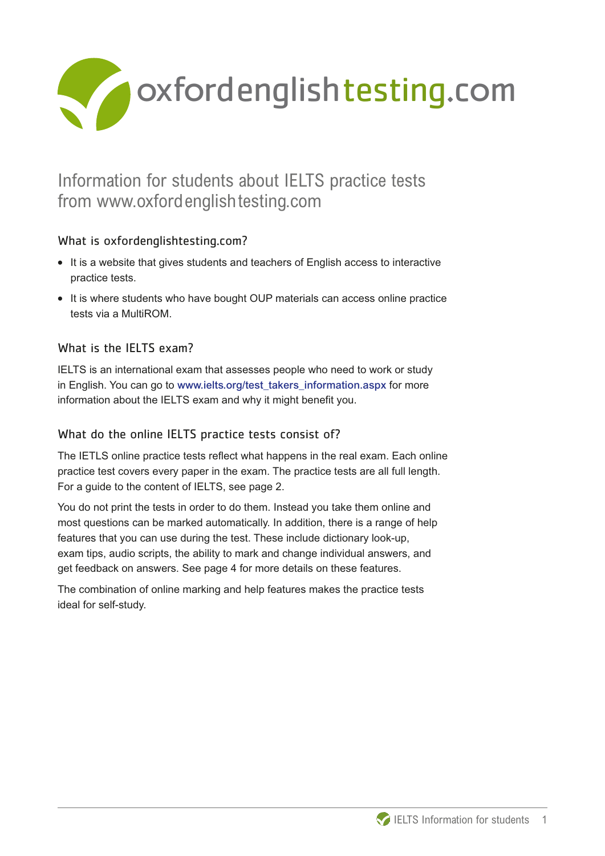

# Information for students about IELTS practice tests from www.oxfordenglishtesting.com

## What is oxfordenglishtesting.com?

- **What is oxfordenglishtesting.com?**<br>• It is a website that gives students and teachers of English access to interactive practice tests.
- **•** It is where students who have bought OUP materials can access online practice tests via a MultiROM.

## What is the IELTS exam?

IELTS is an international exam that assesses people who need to work or study in English. You can go to www.ielts.org/test\_takers\_information.aspx for more information about the IELTS exam and why it might benefit you.

## What do the online IELTS practice tests consist of?

The IETLS online practice tests reflect what happens in the real exam. Each online practice test covers every paper in the exam. The practice tests are all full length. For a guide to the content of IELTS, see page 2.

You do not print the tests in order to do them. Instead you take them online and most questions can be marked automatically. In addition, there is a range of help features that you can use during the test. These include dictionary look-up, exam tips, audio scripts, the ability to mark and change individual answers, and get feedback on answers. See page 4 for more details on these features.

The combination of online marking and help features makes the practice tests ideal for self-study.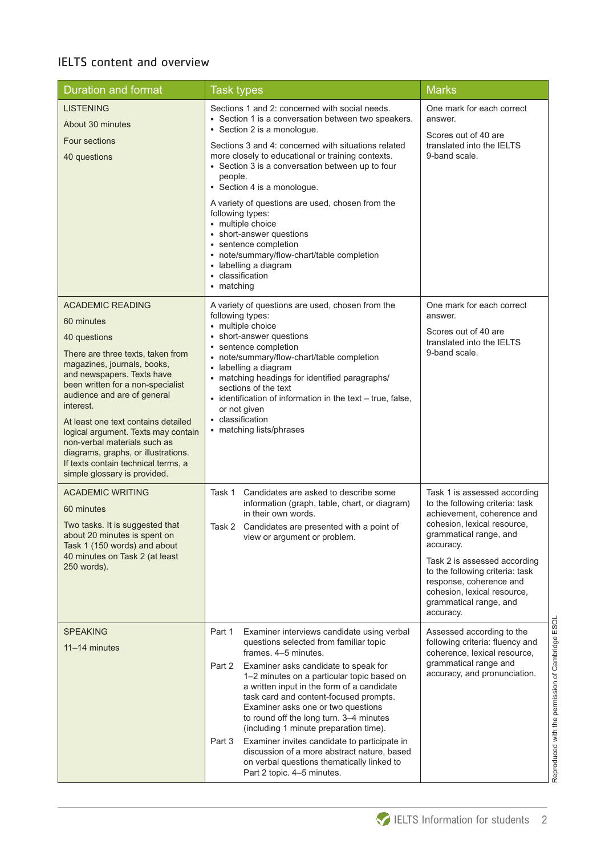## IELTS content and overview

| <b>Duration and format</b>                                                                                                                                                                                                                                                                                                                                                                                                                                           | <b>Task types</b>                                                                                                                                                                                                                                                                                                                                                                                                                                                                                                                                                                                                              | <b>Marks</b>                                                                                                                                                                                                                                                                                                                            |
|----------------------------------------------------------------------------------------------------------------------------------------------------------------------------------------------------------------------------------------------------------------------------------------------------------------------------------------------------------------------------------------------------------------------------------------------------------------------|--------------------------------------------------------------------------------------------------------------------------------------------------------------------------------------------------------------------------------------------------------------------------------------------------------------------------------------------------------------------------------------------------------------------------------------------------------------------------------------------------------------------------------------------------------------------------------------------------------------------------------|-----------------------------------------------------------------------------------------------------------------------------------------------------------------------------------------------------------------------------------------------------------------------------------------------------------------------------------------|
| <b>LISTENING</b><br>About 30 minutes<br><b>Four sections</b><br>40 questions                                                                                                                                                                                                                                                                                                                                                                                         | Sections 1 and 2: concerned with social needs.<br>• Section 1 is a conversation between two speakers.<br>• Section 2 is a monologue.<br>Sections 3 and 4: concerned with situations related<br>more closely to educational or training contexts.<br>• Section 3 is a conversation between up to four<br>people.<br>• Section 4 is a monologue.<br>A variety of questions are used, chosen from the<br>following types:<br>• multiple choice<br>• short-answer questions<br>• sentence completion<br>• note/summary/flow-chart/table completion<br>• labelling a diagram<br>classification<br>• matching                        | One mark for each correct<br>answer.<br>Scores out of 40 are<br>translated into the IELTS<br>9-band scale.                                                                                                                                                                                                                              |
| <b>ACADEMIC READING</b><br>60 minutes<br>40 questions<br>There are three texts, taken from<br>magazines, journals, books,<br>and newspapers. Texts have<br>been written for a non-specialist<br>audience and are of general<br>interest.<br>At least one text contains detailed<br>logical argument. Texts may contain<br>non-verbal materials such as<br>diagrams, graphs, or illustrations.<br>If texts contain technical terms, a<br>simple glossary is provided. | A variety of questions are used, chosen from the<br>following types:<br>• multiple choice<br>• short-answer questions<br>• sentence completion<br>• note/summary/flow-chart/table completion<br>· labelling a diagram<br>• matching headings for identified paragraphs/<br>sections of the text<br>• identification of information in the text - true, false,<br>or not given<br>• classification<br>• matching lists/phrases                                                                                                                                                                                                  | One mark for each correct<br>answer.<br>Scores out of 40 are<br>translated into the IELTS<br>9-band scale.                                                                                                                                                                                                                              |
| <b>ACADEMIC WRITING</b><br>60 minutes<br>Two tasks. It is suggested that<br>about 20 minutes is spent on<br>Task 1 (150 words) and about<br>40 minutes on Task 2 (at least<br>250 words).                                                                                                                                                                                                                                                                            | Candidates are asked to describe some<br>Task 1<br>information (graph, table, chart, or diagram)<br>in their own words.<br>Task 2 Candidates are presented with a point of<br>view or argument or problem.                                                                                                                                                                                                                                                                                                                                                                                                                     | Task 1 is assessed according<br>to the following criteria: task<br>achievement, coherence and<br>cohesion, lexical resource,<br>grammatical range, and<br>accuracy.<br>Task 2 is assessed according<br>to the following criteria: task<br>response, coherence and<br>cohesion, lexical resource,<br>grammatical range, and<br>accuracy. |
| <b>SPEAKING</b><br>11-14 minutes                                                                                                                                                                                                                                                                                                                                                                                                                                     | Part 1<br>Examiner interviews candidate using verbal<br>questions selected from familiar topic<br>frames. 4-5 minutes.<br>Part 2<br>Examiner asks candidate to speak for<br>1-2 minutes on a particular topic based on<br>a written input in the form of a candidate<br>task card and content-focused prompts.<br>Examiner asks one or two questions<br>to round off the long turn. 3-4 minutes<br>(including 1 minute preparation time).<br>Examiner invites candidate to participate in<br>Part 3<br>discussion of a more abstract nature, based<br>on verbal questions thematically linked to<br>Part 2 topic. 4-5 minutes. | Assessed according to the<br>following criteria: fluency and<br>coherence, lexical resource,<br>grammatical range and<br>accuracy, and pronunciation.                                                                                                                                                                                   |

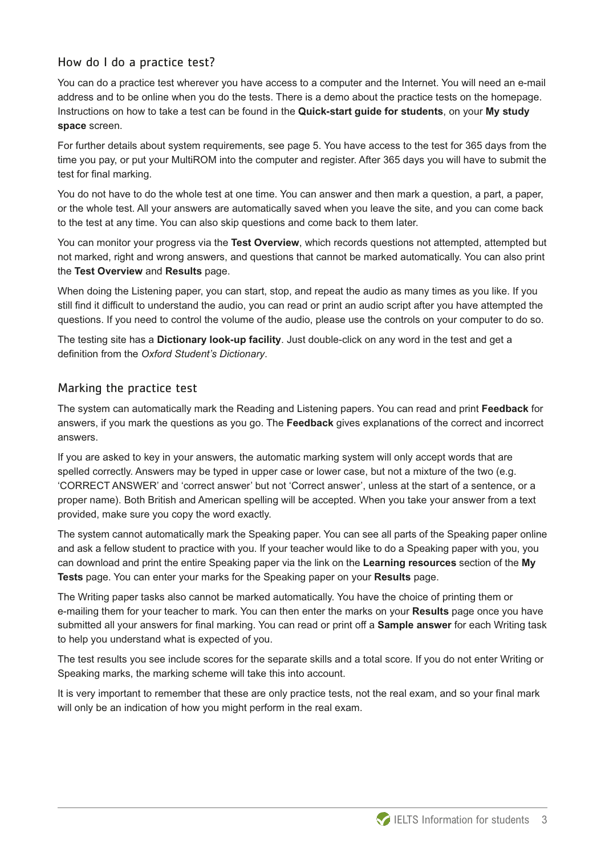#### How do I do a practice test?

You can do a practice test wherever you have access to a computer and the Internet. You will need an e-mail address and to be online when you do the tests. There is a demo about the practice tests on the homepage. Instructions on how to take a test can be found in the **Quick-start guide for students**, on your **My study space** screen.

For further details about system requirements, see page 5. You have access to the test for 365 days from the time you pay, or put your MultiROM into the computer and register. After 365 days you will have to submit the test for final marking.

You do not have to do the whole test at one time. You can answer and then mark a question, a part, a paper, or the whole test. All your answers are automatically saved when you leave the site, and you can come back to the test at any time. You can also skip questions and come back to them later.

You can monitor your progress via the **Test Overview**, which records questions not attempted, attempted but not marked, right and wrong answers, and questions that cannot be marked automatically. You can also print the **Test Overview** and **Results** page.

When doing the Listening paper, you can start, stop, and repeat the audio as many times as you like. If you still find it difficult to understand the audio, you can read or print an audio script after you have attempted the questions. If you need to control the volume of the audio, please use the controls on your computer to do so.

The testing site has a **Dictionary look-up facility**. Just double-click on any word in the test and get a definition from the *Oxford Student's Dictionary*.

#### Marking the practice test

The system can automatically mark the Reading and Listening papers. You can read and print **Feedback** for answers, if you mark the questions as you go. The **Feedback** gives explanations of the correct and incorrect answers.

If you are asked to key in your answers, the automatic marking system will only accept words that are spelled correctly. Answers may be typed in upper case or lower case, but not a mixture of the two (e.g. 'CORRECT ANSWER' and 'correct answer' but not 'Correct answer', unless at the start of a sentence, or a proper name). Both British and American spelling will be accepted. When you take your answer from a text provided, make sure you copy the word exactly.

The system cannot automatically mark the Speaking paper. You can see all parts of the Speaking paper online and ask a fellow student to practice with you. If your teacher would like to do a Speaking paper with you, you can download and print the entire Speaking paper via the link on the **Learning resources** section of the **My Tests** page. You can enter your marks for the Speaking paper on your **Results** page.

The Writing paper tasks also cannot be marked automatically. You have the choice of printing them or e-mailing them for your teacher to mark. You can then enter the marks on your **Results** page once you have submitted all your answers for final marking. You can read or print off a **Sample answer** for each Writing task to help you understand what is expected of you.

The test results you see include scores for the separate skills and a total score. If you do not enter Writing or Speaking marks, the marking scheme will take this into account.

It is very important to remember that these are only practice tests, not the real exam, and so your final mark will only be an indication of how you might perform in the real exam.

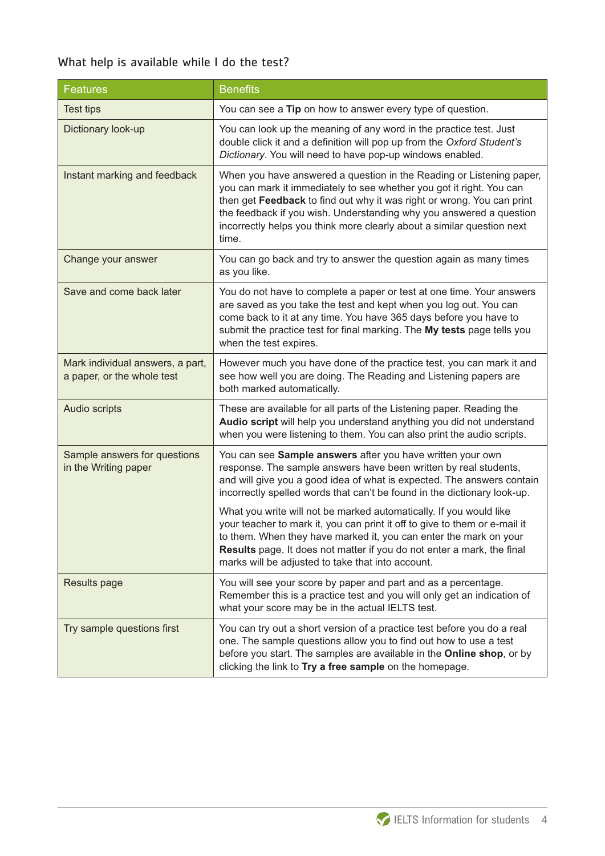## What help is available while I do the test?

| <b>Features</b>                                                | <b>Benefits</b>                                                                                                                                                                                                                                                                                                                                                                  |  |
|----------------------------------------------------------------|----------------------------------------------------------------------------------------------------------------------------------------------------------------------------------------------------------------------------------------------------------------------------------------------------------------------------------------------------------------------------------|--|
| <b>Test tips</b>                                               | You can see a Tip on how to answer every type of question.                                                                                                                                                                                                                                                                                                                       |  |
| Dictionary look-up                                             | You can look up the meaning of any word in the practice test. Just<br>double click it and a definition will pop up from the Oxford Student's<br>Dictionary. You will need to have pop-up windows enabled.                                                                                                                                                                        |  |
| Instant marking and feedback                                   | When you have answered a question in the Reading or Listening paper,<br>you can mark it immediately to see whether you got it right. You can<br>then get Feedback to find out why it was right or wrong. You can print<br>the feedback if you wish. Understanding why you answered a question<br>incorrectly helps you think more clearly about a similar question next<br>time. |  |
| Change your answer                                             | You can go back and try to answer the question again as many times<br>as you like.                                                                                                                                                                                                                                                                                               |  |
| Save and come back later                                       | You do not have to complete a paper or test at one time. Your answers<br>are saved as you take the test and kept when you log out. You can<br>come back to it at any time. You have 365 days before you have to<br>submit the practice test for final marking. The My tests page tells you<br>when the test expires.                                                             |  |
| Mark individual answers, a part,<br>a paper, or the whole test | However much you have done of the practice test, you can mark it and<br>see how well you are doing. The Reading and Listening papers are<br>both marked automatically.                                                                                                                                                                                                           |  |
| Audio scripts                                                  | These are available for all parts of the Listening paper. Reading the<br>Audio script will help you understand anything you did not understand<br>when you were listening to them. You can also print the audio scripts.                                                                                                                                                         |  |
| Sample answers for questions<br>in the Writing paper           | You can see Sample answers after you have written your own<br>response. The sample answers have been written by real students,<br>and will give you a good idea of what is expected. The answers contain<br>incorrectly spelled words that can't be found in the dictionary look-up.                                                                                             |  |
|                                                                | What you write will not be marked automatically. If you would like<br>your teacher to mark it, you can print it off to give to them or e-mail it<br>to them. When they have marked it, you can enter the mark on your<br>Results page. It does not matter if you do not enter a mark, the final<br>marks will be adjusted to take that into account.                             |  |
| <b>Results page</b>                                            | You will see your score by paper and part and as a percentage.<br>Remember this is a practice test and you will only get an indication of<br>what your score may be in the actual IELTS test.                                                                                                                                                                                    |  |
| Try sample questions first                                     | You can try out a short version of a practice test before you do a real<br>one. The sample questions allow you to find out how to use a test<br>before you start. The samples are available in the Online shop, or by<br>clicking the link to Try a free sample on the homepage.                                                                                                 |  |